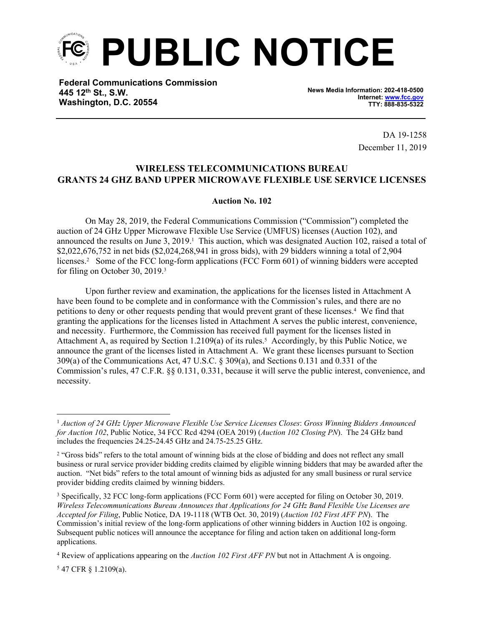

**Federal Communications Commission 445 12th St., S.W. Washington, D.C. 20554**

**News Media Information: 202-418-0500 Internet: [www.fcc.gov](file:///C:/Users/craig.bomberger/AppData/Local/Microsoft/Windows/Temporary%20Internet%20Files/Content.Outlook/BCL5QM18/www.fcc.gov) TTY: 888-835-5322**

> DA 19-1258 December 11, 2019

## **WIRELESS TELECOMMUNICATIONS BUREAU GRANTS 24 GHZ BAND UPPER MICROWAVE FLEXIBLE USE SERVICE LICENSES**

## **Auction No. 102**

On May 28, 2019, the Federal Communications Commission ("Commission") completed the auction of 24 GHz Upper Microwave Flexible Use Service (UMFUS) licenses (Auction 102), and announced the results on June 3, 2019.<sup>1</sup> This auction, which was designated Auction 102, raised a total of \$2,022,676,752 in net bids (\$2,024,268,941 in gross bids), with 29 bidders winning a total of 2,904 licenses.<sup>2</sup> Some of the FCC long-form applications (FCC Form 601) of winning bidders were accepted for filing on October 30, 2019.<sup>3</sup>

Upon further review and examination, the applications for the licenses listed in Attachment A have been found to be complete and in conformance with the Commission's rules, and there are no petitions to deny or other requests pending that would prevent grant of these licenses.<sup>4</sup> We find that granting the applications for the licenses listed in Attachment A serves the public interest, convenience, and necessity. Furthermore, the Commission has received full payment for the licenses listed in Attachment A, as required by Section 1.2109(a) of its rules.<sup>5</sup> Accordingly, by this Public Notice, we announce the grant of the licenses listed in Attachment A. We grant these licenses pursuant to Section 309(a) of the Communications Act, 47 U.S.C. § 309(a), and Sections 0.131 and 0.331 of the Commission's rules, 47 C.F.R. §§ 0.131, 0.331, because it will serve the public interest, convenience, and necessity.

5 47 CFR § 1.2109(a).

<sup>1</sup> *Auction of 24 GHz Upper Microwave Flexible Use Service Licenses Closes*: *Gross Winning Bidders Announced for Auction 102*, Public Notice, 34 FCC Rcd 4294 (OEA 2019) (*Auction 102 Closing PN*). The 24 GHz band includes the frequencies 24.25-24.45 GHz and 24.75-25.25 GHz.

<sup>&</sup>lt;sup>2</sup> "Gross bids" refers to the total amount of winning bids at the close of bidding and does not reflect any small business or rural service provider bidding credits claimed by eligible winning bidders that may be awarded after the auction. "Net bids" refers to the total amount of winning bids as adjusted for any small business or rural service provider bidding credits claimed by winning bidders.

<sup>3</sup> Specifically, 32 FCC long-form applications (FCC Form 601) were accepted for filing on October 30, 2019. *Wireless Telecommunications Bureau Announces that Applications for 24 GHz Band Flexible Use Licenses are Accepted for Filing*, Public Notice, DA 19-1118 (WTB Oct. 30, 2019) (*Auction 102 First AFF PN*). The Commission's initial review of the long-form applications of other winning bidders in Auction 102 is ongoing. Subsequent public notices will announce the acceptance for filing and action taken on additional long-form applications.

<sup>4</sup> Review of applications appearing on the *Auction 102 First AFF PN* but not in Attachment A is ongoing.